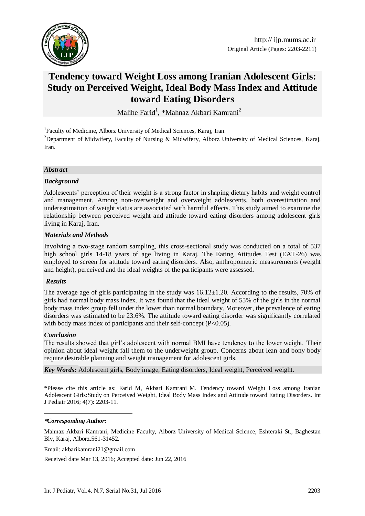

# **Tendency toward Weight Loss among Iranian Adolescent Girls: Study on Perceived Weight, Ideal Body Mass Index and Attitude toward Eating Disorders**

Malihe Farid<sup>1</sup>, \*Mahnaz Akbari Kamrani<sup>2</sup>

<sup>1</sup>Faculty of Medicine, Alborz University of Medical Sciences, Karaj, Iran. <sup>2</sup>Department of Midwifery, Faculty of Nursing & Midwifery, Alborz University of Medical Sciences, Karaj, Iran.

#### *Abstract*

#### *Background*

Adolescents' perception of their weight is a strong factor in shaping dietary habits and weight control and management. Among non-overweight and overweight adolescents, both overestimation and underestimation of weight status are associated with harmful effects. This study aimed to examine the relationship between perceived weight and attitude toward eating disorders among adolescent girls living in Karaj, Iran.

#### *Materials and Methods*

Involving a two-stage random sampling, this cross-sectional study was conducted on a total of 537 high school girls 14-18 years of age living in Karaj. The Eating Attitudes Test (EAT-26) was employed to screen for attitude toward eating disorders. Also, anthropometric measurements (weight and height), perceived and the ideal weights of the participants were assessed.

#### *Results*

The average age of girls participating in the study was  $16.12\pm1.20$ . According to the results, 70% of girls had normal body mass index. It was found that the ideal weight of 55% of the girls in the normal body mass index group fell under the lower than normal boundary. Moreover, the prevalence of eating disorders was estimated to be 23.6%. The attitude toward eating disorder was significantly correlated with body mass index of participants and their self-concept (P<0.05).

#### *Conclusion*

1

The results showed that girl's adolescent with normal BMI have tendency to the lower weight. Their opinion about ideal weight fall them to the underweight group. Concerns about lean and bony body require desirable planning and weight management for adolescent girls.

*Key Words:* Adolescent girls, Body image, Eating disorders, Ideal weight, Perceived weight.

\*Please cite this article as: Farid M, Akbari Kamrani M. Tendency toward Weight Loss among Iranian Adolescent Girls:Study on Perceived Weight, Ideal Body Mass Index and Attitude toward Eating Disorders. Int J Pediatr 2016; 4(7): 2203-11.

#### **\****Corresponding Author:*

Mahnaz Akbari Kamrani, Medicine Faculty, Alborz University of Medical Science, Eshteraki St., Baghestan Blv, Karaj, Alborz.561-31452.

Email: akbarikamrani21@gmail.com

Received date Mar 13, 2016; Accepted date: Jun 22, 2016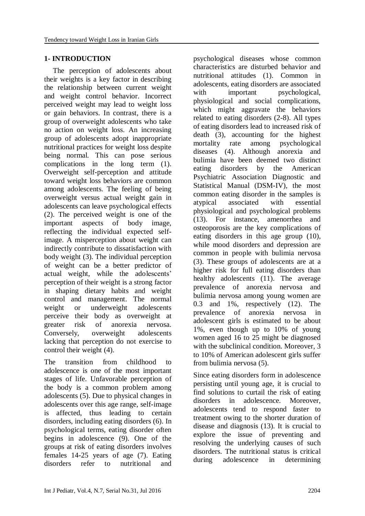# **1- INTRODUCTION**

The perception of adolescents about their weights is a key factor in describing the relationship between current weight and weight control behavior. Incorrect perceived weight may lead to weight loss or gain behaviors. In contrast, there is a group of overweight adolescents who take no action on weight loss. An increasing group of adolescents adopt inappropriate nutritional practices for weight loss despite being normal. This can pose serious complications in the long term (1). Overweight self-perception and attitude toward weight loss behaviors are common among adolescents. The feeling of being overweight versus actual weight gain in adolescents can leave psychological effects (2). The perceived weight is one of the important aspects of body image, reflecting the individual expected selfimage. A misperception about weight can indirectly contribute to dissatisfaction with body weight (3). The individual perception of weight can be a better predictor of actual weight, while the adolescents' perception of their weight is a strong factor in shaping dietary habits and weight control and management. The normal weight or underweight adolescents perceive their body as overweight at greater risk of anorexia nervosa. Conversely, overweight adolescents lacking that perception do not exercise to control their weight (4).

The transition from childhood to adolescence is one of the most important stages of life. Unfavorable perception of the body is a common problem among adolescents (5). Due to physical changes in adolescents over this age range, self-image is affected, thus leading to certain disorders, including eating disorders (6). In psychological terms, eating disorder often begins in adolescence (9). One of the groups at risk of eating disorders involves females 14-25 years of age (7). Eating disorders refer to nutritional and

psychological diseases whose common characteristics are disturbed behavior and nutritional attitudes (1). Common in adolescents, eating disorders are associated with important psychological, physiological and social complications, which might aggravate the behaviors related to eating disorders (2-8). All types of eating disorders lead to increased risk of death (3), accounting for the highest mortality rate among psychological diseases (4). Although anorexia and bulimia have been deemed two distinct eating disorders by the American Psychiatric Association Diagnostic and Statistical Manual (DSM-IV), the most common eating disorder in the samples is atypical associated with essential physiological and psychological problems (13). For instance, amenorrhea and osteoporosis are the key complications of eating disorders in this age group (10), while mood disorders and depression are common in people with bulimia nervosa (3). These groups of adolescents are at a higher risk for full eating disorders than healthy adolescents (11). The average prevalence of anorexia nervosa and bulimia nervosa among young women are 0.3 and 1%, respectively (12). The prevalence of anorexia nervosa in adolescent girls is estimated to be about 1%, even though up to 10% of young women aged 16 to 25 might be diagnosed with the subclinical condition. Moreover, 3 to 10% of American adolescent girls suffer from bulimia nervosa (5).

Since eating disorders form in adolescence persisting until young age, it is crucial to find solutions to curtail the risk of eating disorders in adolescence. Moreover, adolescents tend to respond faster to treatment owing to the shorter duration of disease and diagnosis (13). It is crucial to explore the issue of preventing and resolving the underlying causes of such disorders. The nutritional status is critical during adolescence in determining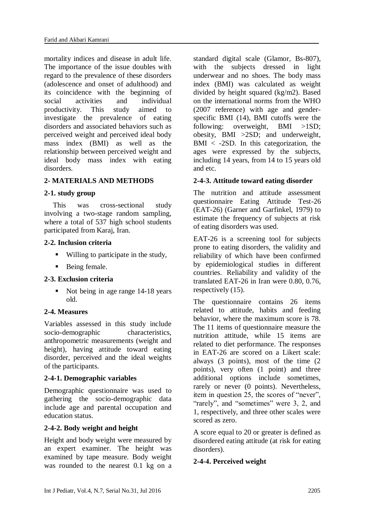mortality indices and disease in adult life. The importance of the issue doubles with regard to the prevalence of these disorders (adolescence and onset of adulthood) and its coincidence with the beginning of social activities and individual productivity. This study aimed to investigate the prevalence of eating disorders and associated behaviors such as perceived weight and perceived ideal body mass index (BMI) as well as the relationship between perceived weight and ideal body mass index with eating disorders.

# **2- MATERIALS AND METHODS**

### **2-1. study group**

This was cross-sectional study involving a two-stage random sampling, where a total of 537 high school students participated from Karaj, Iran.

#### **2-2. Inclusion criteria**

- Willing to participate in the study,
- Being female.

#### **2-3. Exclusion criteria**

 Not being in age range 14-18 years old.

#### **2-4. Measures**

Variables assessed in this study include socio-demographic characteristics, anthropometric measurements (weight and height), having attitude toward eating disorder, perceived and the ideal weights of the participants.

### **2-4-1. Demographic variables**

Demographic questionnaire was used to gathering the socio-demographic data include age and [parental occupation and](https://www.google.com/url?sa=t&rct=j&q=&esrc=s&source=web&cd=2&cad=rja&uact=8&ved=0ahUKEwimhqTwmpjNAhVkDJoKHTP5BxEQFggkMAE&url=http%3A%2F%2Fwww.ncbi.nlm.nih.gov%2Fpubmed%2F15718068&usg=AFQjCNHh9tuT9hXBvssaXaMk5EAvsUbeFA)  [education](https://www.google.com/url?sa=t&rct=j&q=&esrc=s&source=web&cd=2&cad=rja&uact=8&ved=0ahUKEwimhqTwmpjNAhVkDJoKHTP5BxEQFggkMAE&url=http%3A%2F%2Fwww.ncbi.nlm.nih.gov%2Fpubmed%2F15718068&usg=AFQjCNHh9tuT9hXBvssaXaMk5EAvsUbeFA) status.

### **2-4-2. Body weight and height**

Height and body weight were measured by an expert examiner. The height was examined by tape measure. Body weight was rounded to the nearest 0.1 kg on a standard digital scale (Glamor, Bs-807), with the subjects dressed in light underwear and no shoes. The body mass index (BMI) was calculated as weight divided by height squared (kg/m2). Based on the international norms from the WHO (2007 reference) with age and genderspecific BMI (14), BMI cutoffs were the following: overweight, BMI >1SD; obesity, BMI >2SD; and underweight,  $BMI < -2SD$ . In this categorization, the ages were expressed by the subjects, including 14 years, from 14 to 15 years old and etc.

### **2-4-3. Attitude toward eating disorder**

The nutrition and attitude assessment questionnaire Eating Attitude Test-26 (EAT-26) (Garner and Garfinkel, 1979) to estimate the frequency of subjects at risk of eating disorders was used.

EAT-26 is a screening tool for subjects prone to eating disorders, the validity and reliability of which have been confirmed by epidemiological studies in different countries. Reliability and validity of the translated EAT-26 in Iran were 0.80, 0.76, respectively (15).

The questionnaire contains 26 items related to attitude, habits and feeding behavior, where the maximum score is 78. The 11 items of questionnaire measure the nutrition attitude, while 15 items are related to diet performance. The responses in EAT-26 are scored on a Likert scale: always (3 points), most of the time (2 points), very often (1 point) and three additional options include sometimes, rarely or never (0 points). Nevertheless, item in question 25, the scores of "never", "rarely", and "sometimes" were 3, 2, and 1, respectively, and three other scales were scored as zero.

A score equal to 20 or greater is defined as disordered eating attitude (at risk for eating disorders).

### **2-4-4. Perceived weight**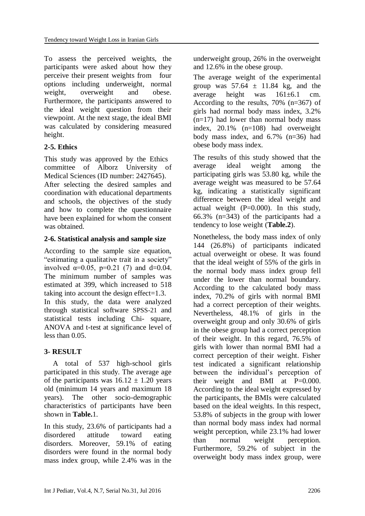To assess the perceived weights, the participants were asked about how they perceive their present weights from four options including underweight, normal weight, overweight and obese. Furthermore, the participants answered to the ideal weight question from their viewpoint. At the next stage, the ideal BMI was calculated by considering measured height.

# **2-5. Ethics**

This study was approved by the Ethics committee of Alborz University of Medical Sciences (ID number: 2427645).

After selecting the desired samples and coordination with educational departments and schools, the objectives of the study and how to complete the questionnaire have been explained for whom the consent was obtained.

### **2-6. Statistical analysis and sample size**

According to the sample size equation, "estimating a qualitative trait in a society" involved  $\alpha=0.05$ ,  $p=0.21$  (7) and d=0.04. The minimum number of samples was estimated at 399, which increased to 518 taking into account the design effect=1.3. In this study, the data were analyzed through statistical software SPSS-21 and statistical tests including Chi- square, ANOVA and t-test at significance level of less than 0.05.

### **3- RESULT**

A total of 537 high-school girls participated in this study. The average age of the participants was  $16.12 \pm 1.20$  years old (minimum 14 years and maximum 18 years). The other socio-demographic characteristics of participants have been shown in **Table.**1.

In this study, 23.6% of participants had a disordered attitude toward eating disorders. Moreover, 59.1% of eating disorders were found in the normal body mass index group, while 2.4% was in the underweight group, 26% in the overweight and 12.6% in the obese group.

The average weight of the experimental group was  $57.64 \pm 11.84$  kg, and the average height was 161±6.1 cm. According to the results, 70% (n=367) of girls had normal body mass index, 3.2%  $(n=17)$  had lower than normal body mass index, 20.1% (n=108) had overweight body mass index, and 6.7% (n=36) had obese body mass index.

The results of this study showed that the average ideal weight among the participating girls was 53.80 kg, while the average weight was measured to be 57.64 kg, indicating a statistically significant difference between the ideal weight and actual weight  $(P=0.000)$ . In this study, 66.3% (n=343) of the participants had a tendency to lose weight (**Table.2**).

Nonetheless, the body mass index of only 144 (26.8%) of participants indicated actual overweight or obese. It was found that the ideal weight of 55% of the girls in the normal body mass index group fell under the lower than normal boundary. According to the calculated body mass index, 70.2% of girls with normal BMI had a correct perception of their weights. Nevertheless, 48.1% of girls in the overweight group and only 30.6% of girls in the obese group had a correct perception of their weight. In this regard, 76.5% of girls with lower than normal BMI had a correct perception of their weight. Fisher test indicated a significant relationship between the individual's perception of their weight and BMI at  $P=0.000$ . According to the ideal weight expressed by the participants, the BMIs were calculated based on the ideal weights. In this respect, 53.8% of subjects in the group with lower than normal body mass index had normal weight perception, while 23.1% had lower than normal weight perception. Furthermore, 59.2% of subject in the overweight body mass index group, were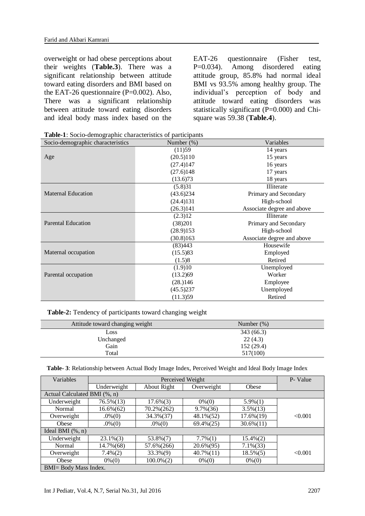overweight or had obese perceptions about their weights (**Table.3**). There was a significant relationship between attitude toward eating disorders and BMI based on the EAT-26 questionnaire  $(P=0.002)$ . Also, There was a significant relationship between attitude toward eating disorders and ideal body mass index based on the EAT-26 questionnaire (Fisher test, P=0.034). Among disordered eating attitude group, 85.8% had normal ideal BMI vs 93.5% among healthy group. The individual's perception of body and attitude toward eating disorders was statistically significant (P=0.000) and Chisquare was 59.38 (**Table.4**).

| <b>rapic-1</b> . Bocto-demographic enaracteristics of participants |            |                            |
|--------------------------------------------------------------------|------------|----------------------------|
| Socio-demographic characteristics                                  | Number (%) | Variables                  |
|                                                                    | (11)59     | 14 years                   |
| Age                                                                | (20.5)110  | 15 years                   |
|                                                                    | (27.4)147  | 16 years                   |
|                                                                    | (27.6)148  | 17 years                   |
|                                                                    | (13.6)73   | 18 years                   |
|                                                                    | (5.8)31    | Illiterate                 |
| <b>Maternal Education</b>                                          | (43.6)234  | Primary and Secondary      |
|                                                                    | (24.4)131  | High-school                |
|                                                                    | (26.3)141  | Associate degree and above |
|                                                                    | (2.3)12    | Illiterate                 |
| <b>Parental Education</b>                                          | (38)201    | Primary and Secondary      |
|                                                                    | (28.9)153  | High-school                |
|                                                                    | (30.8)163  | Associate degree and above |
|                                                                    | (83)443    | Housewife                  |
| Maternal occupation                                                | (15.5)83   | Employed                   |
|                                                                    | (1.5)8     | Retired                    |
|                                                                    | (1.9)10    | Unemployed                 |
| Parental occupation                                                | (13.2)69   | Worker                     |
|                                                                    | (28.)146   | Employee                   |
|                                                                    | (45.5)237  | Unemployed                 |
|                                                                    | (11.3)59   | Retired                    |

**Table-1**: Socio-demographic characteristics of participants

**Table-2:** Tendency of participants toward changing weight

| Attitude toward changing weight | Number $(\%)$ |
|---------------------------------|---------------|
| Loss                            | 343 (66.3)    |
| Unchanged                       | 22(4.3)       |
| Gain                            | 152(29.4)     |
| Total                           | 517(100)      |
|                                 |               |

|  |  |  |  |  | Table- 3: Relationship between Actual Body Image Index, Perceived Weight and Ideal Body Image Index |
|--|--|--|--|--|-----------------------------------------------------------------------------------------------------|
|--|--|--|--|--|-----------------------------------------------------------------------------------------------------|

| Variables                     | Perceived Weight |                 |              | P- Value     |         |
|-------------------------------|------------------|-----------------|--------------|--------------|---------|
|                               | Underweight      | About Right     | Overweight   | Obese        |         |
| Actual Calculated BMI (%, n)  |                  |                 |              |              |         |
| Underweight                   | $76.5\%(13)$     | $17.6\%(3)$     | $0\%$ (0)    | $5.9\%(1)$   |         |
| Normal                        | $16.6\%(62)$     | 70.2%(262)      | $9.7\%(36)$  | $3.5\%(13)$  |         |
| Overweight                    | $.0\%(0)$        | 34.3%(37)       | 48.1%(52)    | $17.6\%(19)$ | < 0.001 |
| Obese                         | $.0\%(0)$        | $.0\%(0)$       | $69.4\%(25)$ | $30.6\%(11)$ |         |
| Ideal BMI $(\% , n)$          |                  |                 |              |              |         |
| Underweight                   | $23.1\%(3)$      | $53.8\%(7)$     | $7.7\%(1)$   | $15.4\%(2)$  |         |
| Normal                        | 14.7%(68)        | 57.6%(266)      | 20.6%(95)    | $7.1\%(33)$  |         |
| Overweight                    | $7.4\%(2)$       | $33.3\%(9)$     | $40.7\%(11)$ | $18.5\%(5)$  | < 0.001 |
| Obese                         | $0\% (0)$        | $100.0\%$ $(2)$ | $0\%(0)$     | $0\% (0)$    |         |
| <b>BMI</b> = Body Mass Index. |                  |                 |              |              |         |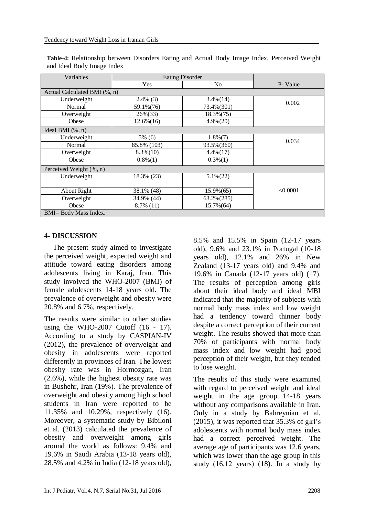| Variables                     | <b>Eating Disorder</b>       |                |          |  |  |  |
|-------------------------------|------------------------------|----------------|----------|--|--|--|
|                               | Yes                          | N <sub>o</sub> | P- Value |  |  |  |
|                               | Actual Calculated BMI (%, n) |                |          |  |  |  |
| Underweight                   | $2.4\%$ (3)                  | $3.4\%$ $(14)$ | 0.002    |  |  |  |
| Normal                        | 59.1%(76)                    | 73.4%(301)     |          |  |  |  |
| Overweight                    | 26%(33)                      | $18.3\%(75)$   |          |  |  |  |
| Obese                         | $12.6\%(16)$                 | $4.9\% (20)$   |          |  |  |  |
| Ideal BMI $(\% , n)$          |                              |                |          |  |  |  |
| Underweight                   | 5% (6)                       | $1,8\%$ $(7)$  | 0.034    |  |  |  |
| Normal                        | 85.8% (103)                  | 93.5%(360)     |          |  |  |  |
| Overweight                    | $8.3\%(10)$                  | $4.4\%(17)$    |          |  |  |  |
| Obese                         | $0.8\%(1)$                   | $0.3\%(1)$     |          |  |  |  |
| Perceived Weight (%, n)       |                              |                |          |  |  |  |
| Underweight                   | 18.3% (23)                   | $5.1\%(22)$    |          |  |  |  |
|                               |                              |                |          |  |  |  |
| About Right                   | 38.1% (48)                   | 15.9%(65)      | < 0.0001 |  |  |  |
| Overweight                    | 34.9% (44)                   | 63.2%(285)     |          |  |  |  |
| Obese                         | $8.7\%$ (11)                 | 15.7%(64)      |          |  |  |  |
| <b>BMI</b> = Body Mass Index. |                              |                |          |  |  |  |

**Table-4:** Relationship between Disorders Eating and Actual Body Image Index, Perceived Weight and Ideal Body Image Index

#### **4- DISCUSSION**

The present study aimed to investigate the perceived weight, expected weight and attitude toward eating disorders among adolescents living in Karaj, Iran. This study involved the WHO-2007 (BMI) of female adolescents 14-18 years old. The prevalence of overweight and obesity were 20.8% and 6.7%, respectively.

The results were similar to other studies using the WHO-2007 Cutoff (16 - 17). According to a study by CASPIAN-IV (2012), the prevalence of overweight and obesity in adolescents were reported differently in provinces of Iran. The lowest obesity rate was in Hormozgan, Iran (2.6%), while the highest obesity rate was in Bushehr, Iran (19%). The prevalence of overweight and obesity among high school students in Iran were reported to be 11.35% and 10.29%, respectively (16). Moreover, a systematic study by Bibiloni et al. (2013) calculated the prevalence of obesity and overweight among girls around the world as follows: 9.4% and 19.6% in Saudi Arabia (13-18 years old), 28.5% and 4.2% in India (12-18 years old),

8.5% and 15.5% in Spain (12-17 years old), 9.6% and 23.1% in Portugal (10-18 years old), 12.1% and 26% in New Zealand (13-17 years old) and 9.4% and 19.6% in Canada (12-17 years old) (17). The results of perception among girls about their ideal body and ideal MBI indicated that the majority of subjects with normal body mass index and low weight had a tendency toward thinner body despite a correct perception of their current weight. The results showed that more than 70% of participants with normal body mass index and low weight had good perception of their weight, but they tended to lose weight.

The results of this study were examined with regard to perceived weight and ideal weight in the age group 14-18 years without any comparisons available in Iran. Only in a study by Bahreynian et al. (2015), it was reported that 35.3% of girl's adolescents with normal body mass index had a correct perceived weight. The average age of participants was 12.6 years, which was lower than the age group in this study  $(16.12 \text{ years})$   $(18)$ . In a study by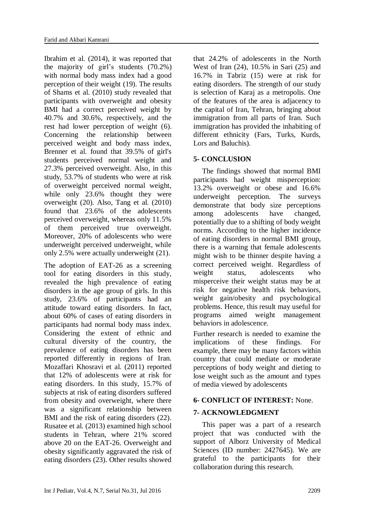Ibrahim et al. (2014), it was reported that the majority of girl's students (70.2%) with normal body mass index had a good perception of their weight (19). The results of Shams et al. (2010) study revealed that participants with overweight and obesity BMI had a correct perceived weight by 40.7% and 30.6%, respectively, and the rest had lower perception of weight (6). Concerning the relationship between perceived weight and body mass index, Brenner et al. found that 39.5% of girl's students perceived normal weight and 27.3% perceived overweight. Also, in this study, 53.7% of students who were at risk of overweight perceived normal weight, while only 23.6% thought they were overweight (20). Also, Tang et al. (2010) found that 23.6% of the adolescents perceived overweight, whereas only 11.5% of them perceived true overweight. Moreover, 20% of adolescents who were underweight perceived underweight, while only 2.5% were actually underweight (21).

The adoption of EAT-26 as a screening tool for eating disorders in this study, revealed the high prevalence of eating disorders in the age group of girls. In this study, 23.6% of participants had an attitude toward eating disorders. In fact, about 60% of cases of eating disorders in participants had normal body mass index. Considering the extent of ethnic and cultural diversity of the country, the prevalence of eating disorders has been reported differently in regions of Iran. Mozaffari Khosravi et al. (2011) reported that 12% of adolescents were at risk for eating disorders. In this study, 15.7% of subjects at risk of eating disorders suffered from obesity and overweight, where there was a significant relationship between BMI and the risk of eating disorders (22). Rusatee et al. (2013) examined high school students in Tehran, where 21% scored above 20 on the EAT-26. Overweight and obesity significantly aggravated the risk of eating disorders (23). Other results showed that 24.2% of adolescents in the North West of Iran (24), 10.5% in Sari (25) and 16.7% in Tabriz (15) were at risk for eating disorders. The strength of our study is selection of Karaj as a metropolis. One of the features of the area is adjacency to the capital of Iran, Tehran, bringing about immigration from all parts of Iran. Such immigration has provided the inhabiting of different ethnicity (Fars, Turks, Kurds, Lors and Baluchis).

# **5- CONCLUSION**

The findings showed that normal BMI participants had weight misperception: 13.2% overweight or obese and 16.6% underweight perception. The surveys demonstrate that body size perceptions among adolescents have changed, potentially due to a shifting of body weight norms. According to the higher incidence of eating disorders in normal BMI group, there is a warning that female adolescents might wish to be thinner despite having a correct perceived weight. Regardless of weight status, adolescents who misperceive their weight status may be at risk for negative health risk behaviors, weight gain/obesity and psychological problems. Hence, this result may useful for programs aimed weight management behaviors in adolescence.

Further research is needed to examine the implications of these findings. For example, there may be many factors within country that could mediate or moderate perceptions of body weight and dieting to lose weight such as the amount and types of media viewed by adolescents

# **6- CONFLICT OF INTEREST:** None.

# **7- ACKNOWLEDGMENT**

This paper was a part of a research project that was conducted with the support of Alborz University of Medical Sciences (ID number: 2427645). We are grateful to the participants for their collaboration during this research.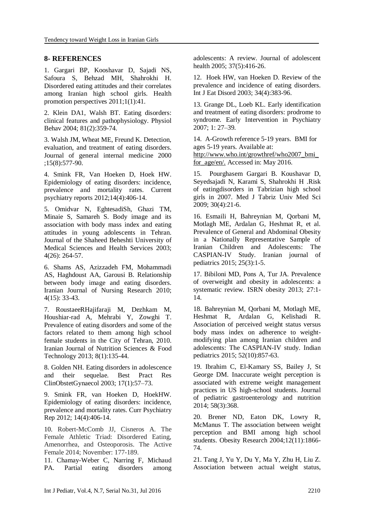#### **8- REFERENCES**

1. Gargari BP, Kooshavar D, Sajadi NS, Safoura S, Behzad MH, Shahrokhi H. Disordered eating attitudes and their correlates among Iranian high school girls. Health promotion perspectives 2011;1(1):41.

2. Klein DA1, Walsh BT. Eating disorders: clinical features and pathophysiology. Physiol Behav 2004; 81(2):359-74.

3. Walsh JM, Wheat ME, Freund K. Detection, evaluation, and treatment of eating disorders. Journal of general internal medicine 2000 ;15(8):577-90.

4. Smink FR, Van Hoeken D, Hoek HW. Epidemiology of eating disorders: incidence, prevalence and mortality rates. Current psychiatry reports 2012;14(4):406-14.

5. Omidvar N, EghtesadiSh, Ghazi TM, Minaie S, Samareh S. Body image and its association with body mass index and eating attitudes in young adolescents in Tehran. Journal of the Shaheed Beheshti University of Medical Sciences and Health Services 2003; 4(26): 264-57.

6. Shams AS, Azizzadeh FM, Mohammadi AS, Haghdoust AA, Garousi B. Relationship between body image and eating disorders. Iranian Journal of Nursing Research 2010; 4(15): 33-43.

7. RoustaeeRHajifaraji M, Dezhkam M, Houshiar-rad A, Mehrabi Y, Zowghi T. Prevalence of eating disorders and some of the factors related to them among high school female students in the City of Tehran, 2010. Iranian Journal of Nutrition Sciences & Food Technology 2013; 8(1):135-44.

8. Golden NH. Eating disorders in adolescence and their sequelae. Best Pract Res ClinObstetGynaecol 2003; 17(1):57–73.

9. Smink FR, van Hoeken D, HoekHW. Epidemiology of eating disorders: incidence, prevalence and mortality rates. Curr Psychiatry Rep 2012; 14(4):406-14.

10. Robert-McComb JJ, Cisneros A. The Female Athletic Triad: Disordered Eating, Amenorrhea, and Osteoporosis. The Active Female 2014; November: 177-189.

11. Chamay-Weber C, Narring F, Michaud PA. Partial eating disorders among adolescents: A review. Journal of adolescent health 2005; 37(5):416-26.

12. Hoek HW, van Hoeken D. Review of the prevalence and incidence of eating disorders. Int J Eat Disord 2003; 34(4):383-96.

13. Grange DL, Loeb KL. Early identification and treatment of eating disorders: prodrome to syndrome. Early Intervention in Psychiatry 2007; 1: 27–39.

14. A-Growth reference 5-19 years. BMI for ages 5-19 years. Available at: http://www.who.int/growthref/who2007\_bmi\_ for\_age/en/. Accessed in: May 2016.

15. Pourghasem Gargari B. Koushavar D, Seyedsajadi N, Karami S, Shahrokhi H .Risk of eatingdisorders in Tabrizian high school girls in 2007. Med J Tabriz Univ Med Sci 2009; 30(4):21-6.

16. Esmaili H, Bahreynian M, Qorbani M, Motlagh ME, Ardalan G, Heshmat R, et al. Prevalence of General and Abdominal Obesity in a Nationally Representative Sample of Iranian Children and Adolescents: The CASPIAN-IV Study. Iranian journal of pediatrics 2015; 25(3):1-5.

17. Bibiloni MD, Pons A, Tur JA. Prevalence of overweight and obesity in adolescents: a systematic review. ISRN obesity 2013; 27:1- 14.

18. Bahreynian M, Qorbani M, Motlagh ME, Heshmat R, Ardalan G, Kelishadi R. Association of perceived weight status versus body mass index on adherence to weightmodifying plan among Iranian children and adolescents: The CASPIAN-IV study. Indian pediatrics 2015; 52(10):857-63.

19. Ibrahim C, El-Kamary SS, Bailey J, St George DM. Inaccurate weight perception is associated with extreme weight management practices in US high-school students. Journal of pediatric gastroenterology and nutrition 2014; 58(3):368.

20. Brener ND, Eaton DK, Lowry R, McManus T. The association between weight perception and BMI among high school students. Obesity Research 2004;12(11):1866- 74.

21. Tang J, Yu Y, Du Y, Ma Y, Zhu H, Liu Z. Association between actual weight status,